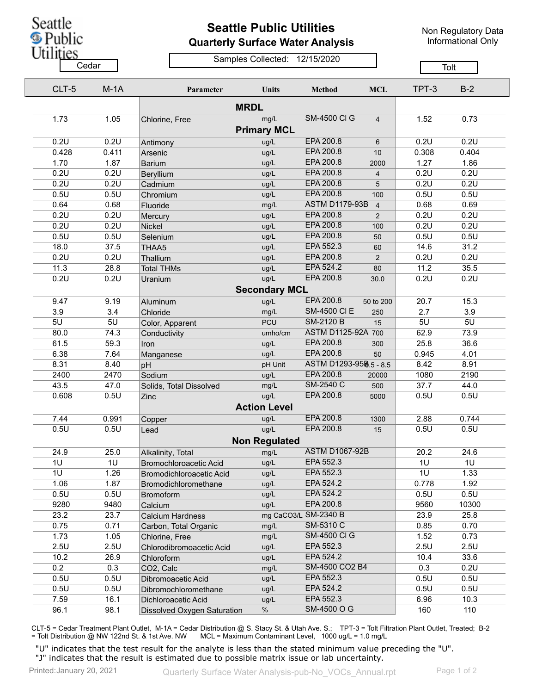Seattle **S** Public

## **Seattle Public Utilities Quarterly Surface Water Analysis**

Non Regulatory Data Informational Only

Utilities

## Samples Collected: 12/15/2020

 $\overline{\phantom{a}}$ 

|     | Cedar |        |                             |                            |                        |                | Tolt  |       |
|-----|-------|--------|-----------------------------|----------------------------|------------------------|----------------|-------|-------|
|     | CLT-5 | $M-1A$ | Parameter                   | Units                      | <b>Method</b>          | <b>MCL</b>     | TPT-3 | $B-2$ |
|     |       |        |                             | <b>MRDL</b>                |                        |                |       |       |
|     | 1.73  | 1.05   | Chlorine, Free              | mg/L<br><b>Primary MCL</b> | <b>SM-4500 CI G</b>    | $\overline{4}$ | 1.52  | 0.73  |
|     | 0.2U  | 0.2U   | Antimony                    | ug/L                       | EPA 200.8              | 6              | 0.2U  | 0.2U  |
|     | 0.428 | 0.411  | Arsenic                     | ug/L                       | EPA 200.8              | 10             | 0.308 | 0.404 |
|     | 1.70  | 1.87   | <b>Barium</b>               | ug/L                       | EPA 200.8              | 2000           | 1.27  | 1.86  |
|     | 0.2U  | 0.2U   | Beryllium                   | ug/L                       | EPA 200.8              | 4              | 0.2U  | 0.2U  |
|     | 0.2U  | 0.2U   | Cadmium                     | ug/L                       | EPA 200.8              | 5              | 0.2U  | 0.2U  |
|     | 0.5U  | 0.5U   | Chromium                    | ug/L                       | EPA 200.8              | 100            | 0.5U  | 0.5U  |
|     | 0.64  | 0.68   | Fluoride                    | mg/L                       | <b>ASTM D1179-93B</b>  | $\overline{4}$ | 0.68  | 0.69  |
|     | 0.2U  | 0.2U   | Mercury                     | ug/L                       | EPA 200.8              | 2              | 0.2U  | 0.2U  |
|     | 0.2U  | 0.2U   | Nickel                      | ug/L                       | EPA 200.8              | 100            | 0.2U  | 0.2U  |
|     | 0.5U  | 0.5U   | Selenium                    | ug/L                       | EPA 200.8              | 50             | 0.5U  | 0.5U  |
|     | 18.0  | 37.5   | THAA5                       | ug/L                       | EPA 552.3              | 60             | 14.6  | 31.2  |
|     | 0.2U  | 0.2U   | Thallium                    | ug/L                       | EPA 200.8              | $\overline{2}$ | 0.2U  | 0.2U  |
|     | 11.3  | 28.8   | <b>Total THMs</b>           | ug/L                       | EPA 524.2              | 80             | 11.2  | 35.5  |
|     | 0.2U  | 0.2U   | Uranium                     | ug/L                       | EPA 200.8              | 30.0           | 0.2U  | 0.2U  |
|     |       |        |                             | <b>Secondary MCL</b>       |                        |                |       |       |
|     | 9.47  | 9.19   | Aluminum                    | ug/L                       | EPA 200.8              | 50 to 200      | 20.7  | 15.3  |
| 3.9 |       | 3.4    | Chloride                    | mg/L                       | <b>SM-4500 CI E</b>    | 250            | 2.7   | 3.9   |
| 5U  |       | 5U     | Color, Apparent             | <b>PCU</b>                 | <b>SM-2120 B</b>       | 15             | 5U    | 5U    |
|     | 80.0  | 74.3   | Conductivity                | umho/cm                    | ASTM D1125-92A 700     |                | 62.9  | 73.9  |
|     | 61.5  | 59.3   | Iron                        | ug/L                       | EPA 200.8              | 300            | 25.8  | 36.6  |
|     | 6.38  | 7.64   | Manganese                   | ug/L                       | EPA 200.8              | 50             | 0.945 | 4.01  |
|     | 8.31  | 8.40   | pH                          | pH Unit                    | ASTM D1293-958.5 - 8.5 |                | 8.42  | 8.91  |
|     | 2400  | 2470   | Sodium                      | ug/L                       | EPA 200.8              | 20000          | 1080  | 2190  |
|     | 43.5  | 47.0   | Solids, Total Dissolved     | mg/L                       | SM-2540 C              | 500            | 37.7  | 44.0  |
|     | 0.608 | 0.5U   | Zinc                        | ug/L                       | EPA 200.8              | 5000           | 0.5U  | 0.5U  |
|     |       |        |                             | <b>Action Level</b>        |                        |                |       |       |
|     | 7.44  | 0.991  | Copper                      | ug/L                       | EPA 200.8              | 1300           | 2.88  | 0.744 |
|     | 0.5U  | 0.5U   | Lead                        | ug/L                       | EPA 200.8              | 15             | 0.5U  | 0.5U  |
|     |       |        |                             | <b>Non Regulated</b>       |                        |                |       |       |
|     | 24.9  | 25.0   | Alkalinity, Total           | mg/L                       | <b>ASTM D1067-92B</b>  |                | 20.2  | 24.6  |
| 1U  |       | 1U     | Bromochloroacetic Acid      | ug/L                       | EPA 552.3              |                | 1U    | 1U    |
| 1U  |       | 1.26   | Bromodichloroacetic Acid    | ug/L                       | EPA 552.3              |                | 1U    | 1.33  |
|     | 1.06  | 1.87   | Bromodichloromethane        | ug/L                       | EPA 524.2              |                | 0.778 | 1.92  |
|     | 0.5U  | 0.5U   | <b>Bromoform</b>            | ug/L                       | EPA 524.2              |                | 0.5U  | 0.5U  |
|     | 9280  | 9480   | Calcium                     | ug/L                       | EPA 200.8              |                | 9560  | 10300 |
|     | 23.2  | 23.7   | Calcium Hardness            |                            | mg CaCO3/L SM-2340 B   |                | 23.9  | 25.8  |
|     | 0.75  | 0.71   | Carbon, Total Organic       | mg/L                       | SM-5310 C              |                | 0.85  | 0.70  |
|     | 1.73  | 1.05   | Chlorine, Free              | mg/L                       | <b>SM-4500 CI G</b>    |                | 1.52  | 0.73  |
|     | 2.5U  | 2.5U   | Chlorodibromoacetic Acid    | ug/L                       | EPA 552.3              |                | 2.5U  | 2.5U  |
|     | 10.2  | 26.9   | Chloroform                  | ug/L                       | EPA 524.2              |                | 10.4  | 33.6  |
| 0.2 |       | 0.3    | CO2, Calc                   | mg/L                       | SM-4500 CO2 B4         |                | 0.3   | 0.2U  |
|     | 0.5U  | 0.5U   | Dibromoacetic Acid          | ug/L                       | EPA 552.3              |                | 0.5U  | 0.5U  |
|     | 0.5U  | 0.5U   | Dibromochloromethane        | ug/L                       | EPA 524.2              |                | 0.5U  | 0.5U  |
|     | 7.59  | 16.1   | Dichloroacetic Acid         | ug/L                       | EPA 552.3              |                | 6.96  | 10.3  |
|     | 96.1  | 98.1   | Dissolved Oxygen Saturation | %                          | SM-4500 O G            |                | 160   | 110   |

CLT-5 = Cedar Treatment Plant Outlet, M-1A = Cedar Distribution @ S. Stacy St. & Utah Ave. S.; TPT-3 = Tolt Filtration Plant Outlet, Treated; B-2<br>= Tolt Distribution @ NW 122nd St. & 1st Ave. NW MCL = Maximum Contaminant L MCL = Maximum Contaminant Level, 1000 ug/L = 1.0 mg/L

"U" indicates that the test result for the analyte is less than the stated minimum value preceding the "U". "J" indicates that the result is estimated due to possible matrix issue or lab uncertainty.